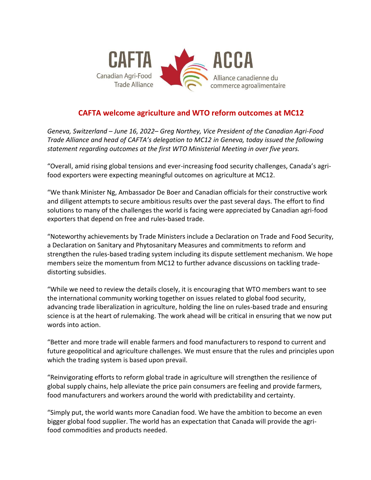

## **CAFTA welcome agriculture and WTO reform outcomes at MC12**

*Geneva, Switzerland – June 16, 2022– Greg Northey, Vice President of the Canadian Agri-Food Trade Alliance and head of CAFTA's delegation to MC12 in Geneva, today issued the following statement regarding outcomes at the first WTO Ministerial Meeting in over five years.*

"Overall, amid rising global tensions and ever-increasing food security challenges, Canada's agrifood exporters were expecting meaningful outcomes on agriculture at MC12.

"We thank Minister Ng, Ambassador De Boer and Canadian officials for their constructive work and diligent attempts to secure ambitious results over the past several days. The effort to find solutions to many of the challenges the world is facing were appreciated by Canadian agri-food exporters that depend on free and rules-based trade.

"Noteworthy achievements by Trade Ministers include a Declaration on Trade and Food Security, a Declaration on Sanitary and Phytosanitary Measures and commitments to reform and strengthen the rules-based trading system including its dispute settlement mechanism. We hope members seize the momentum from MC12 to further advance discussions on tackling tradedistorting subsidies.

"While we need to review the details closely, it is encouraging that WTO members want to see the international community working together on issues related to global food security, advancing trade liberalization in agriculture, holding the line on rules-based trade and ensuring science is at the heart of rulemaking. The work ahead will be critical in ensuring that we now put words into action.

"Better and more trade will enable farmers and food manufacturers to respond to current and future geopolitical and agriculture challenges. We must ensure that the rules and principles upon which the trading system is based upon prevail.

"Reinvigorating efforts to reform global trade in agriculture will strengthen the resilience of global supply chains, help alleviate the price pain consumers are feeling and provide farmers, food manufacturers and workers around the world with predictability and certainty.

"Simply put, the world wants more Canadian food. We have the ambition to become an even bigger global food supplier. The world has an expectation that Canada will provide the agrifood commodities and products needed.